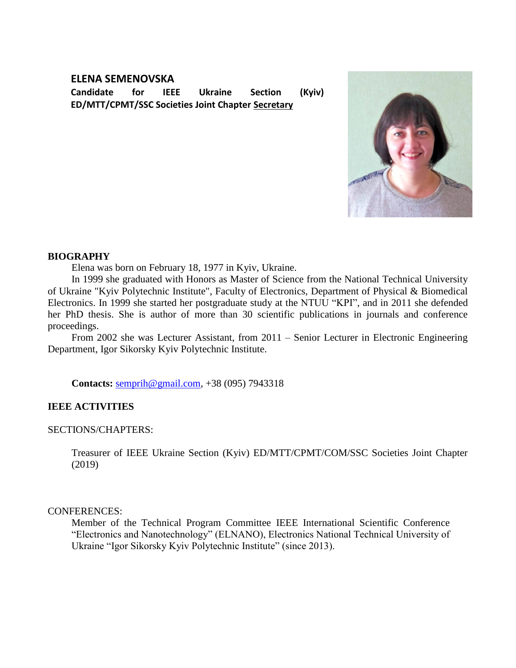# **ELENA SEMENOVSKA**

**Candidate for IEEE Ukraine Section (Kyiv) ED/MTT/CPMT/SSC Societies Joint Chapter Secretary** 



### **BIOGRAPHY**

Elena was born on February 18, 1977 in Kyiv, Ukraine.

In 1999 she graduated with Honors as Master of Science from the National Technical University of Ukraine "Kyiv Polytechnic Institute", Faculty of Electronics, Department of Physical & Biomedical Electronics. In 1999 she started her postgraduate study at the NTUU "KPI", and in 2011 she defended her PhD thesis. She is author of more than 30 scientific publications in journals and conference proceedings.

From 2002 she was Lecturer Assistant, from 2011 – Senior Lecturer in Electronic Engineering Department, Igor Sikorsky Kyiv Polytechnic Institute.

**Contacts:** [semprih@gmail.com,](mailto:semprih@gmail.com) +38 (095) 7943318

### **IEEE ACTIVITIES**

### SECTIONS/CHAPTERS:

Treasurer of IEEE Ukraine Section (Kyiv) ED/MTT/CPMT/COM/SSC Societies Joint Chapter (2019)

### CONFERENCES:

Member of the Technical Program Committee IEEE International Scientific Conference "Electronics and Nanotechnology" (ELNANO), Electronics National Technical University of Ukraine "Igor Sikorsky Kyiv Polytechnic Institute" (since 2013).